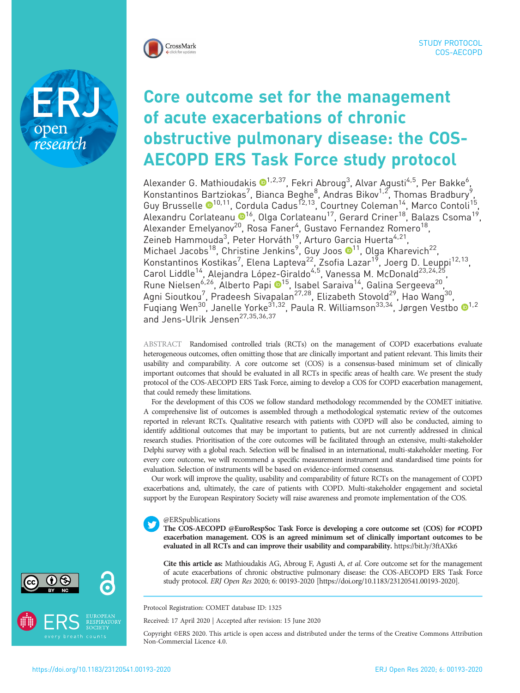

research

# Core outcome set for the management of acute exacerbations of chronic obstructive pulmonary disease: the COS-AECOPD ERS Task Force study protocol

Alexander G. Mathioudakis O<sup>1,2,37</sup>, Fekri Abroug<sup>3</sup>, Alvar Agusti<sup>4,5</sup>, Per Bakke<sup>6</sup> , Konstantinos Bartziokas<sup>7</sup>, Bianca Beghe<sup>8</sup>, Andras Bikov<sup>1,2</sup>, Thomas Bradbury<sup>9</sup>, Guy Brusselle <sup>[1](https://orcid.org/0000-0001-7021-8505)0,11</sup>, Cordula Cadus<sup>12,13</sup>, Courtney Coleman<sup>14</sup>, Marco Contoli<sup>15</sup>, Alexandru Corlateanu ®<sup>16</sup>, Olga Corlateanu<sup>17</sup>, Gerard Criner<sup>18</sup>, Balazs Csoma<sup>19</sup>, Alexander Emelyanov<sup>20</sup>, Rosa Faner<sup>4</sup>, Gustavo Fernandez Romero<sup>18</sup>, Zeineb Hammouda<sup>3</sup>, Peter Horváth<sup>19</sup>, Arturo Garcia Huerta<sup>4,21</sup>, Michael Jacobs<sup>[1](https://orcid.org/0000-0002-3149-9444)8</sup>, Christine Jenkins<sup>9</sup>, Guy Joos  $\mathbf{O}^{11}$ , Olga Kharevich<sup>22</sup>, Konstantinos Kostikas<sup>7</sup>, Elena Lapteva<sup>22</sup>, Zsofia Lazar<sup>19</sup>, Joerg D. Leuppi<sup>12,13</sup>, Carol Liddle<sup>14</sup>, Alejandra López-Giraldo<sup>4,5</sup>, Vanessa M. McDonald<sup>23,24,25</sup>, Rune Nielsen<sup>6,26</sup>, Alberto Papi ®<sup>15</sup>, Isabel Saraiva<sup>14</sup>, Galina Sergeeva<sup>20</sup>, Agni Sioutkou<sup>7</sup>, Pradeesh Sivapalan<sup>27,28</sup>, Elizabeth Stovold<sup>29</sup>, Hao Wang<sup>30</sup>, Fuqiang Wen<sup>30</sup>, Janelle Yorke<sup>3[1](https://orcid.org/0000-0001-6355-6362),32</sup>, Paula R. Williamson<sup>33,34</sup>, Jørgen Vestbo <sup>1,2</sup> and Jens-Ulrik Jensen<sup>27,35,36,37</sup>

ABSTRACT Randomised controlled trials (RCTs) on the management of COPD exacerbations evaluate heterogeneous outcomes, often omitting those that are clinically important and patient relevant. This limits their usability and comparability. A core outcome set (COS) is a consensus-based minimum set of clinically important outcomes that should be evaluated in all RCTs in specific areas of health care. We present the study protocol of the COS-AECOPD ERS Task Force, aiming to develop a COS for COPD exacerbation management, that could remedy these limitations.

For the development of this COS we follow standard methodology recommended by the COMET initiative. A comprehensive list of outcomes is assembled through a methodological systematic review of the outcomes reported in relevant RCTs. Qualitative research with patients with COPD will also be conducted, aiming to identify additional outcomes that may be important to patients, but are not currently addressed in clinical research studies. Prioritisation of the core outcomes will be facilitated through an extensive, multi-stakeholder Delphi survey with a global reach. Selection will be finalised in an international, multi-stakeholder meeting. For every core outcome, we will recommend a specific measurement instrument and standardised time points for evaluation. Selection of instruments will be based on evidence-informed consensus.

Our work will improve the quality, usability and comparability of future RCTs on the management of COPD exacerbations and, ultimately, the care of patients with COPD. Multi-stakeholder engagement and societal support by the European Respiratory Society will raise awareness and promote implementation of the COS.

## @ERSpublications

The COS-AECOPD @EuroRespSoc Task Force is developing a core outcome set (COS) for #COPD exacerbation management. COS is an agreed minimum set of clinically important outcomes to be evaluated in all RCTs and can improve their usability and comparability. <https://bit.ly/3ftAXk6>

Cite this article as: Mathioudakis AG, Abroug F, Agusti A, et al. Core outcome set for the management of acute exacerbations of chronic obstructive pulmonary disease: the COS-AECOPD ERS Task Force study protocol. ERJ Open Res 2020; 6: 00193-2020 [\[https://doi.org/10.1183/23120541.00193-2020\].](https://doi.org/10.1183/23120541.00193-2020)

Protocol Registration: COMET database ID: 1325

Received: 17 April 2020 | Accepted after revision: 15 June 2020

Copyright ©ERS 2020. This article is open access and distributed under the terms of the Creative Commons Attribution Non-Commercial Licence 4.0.



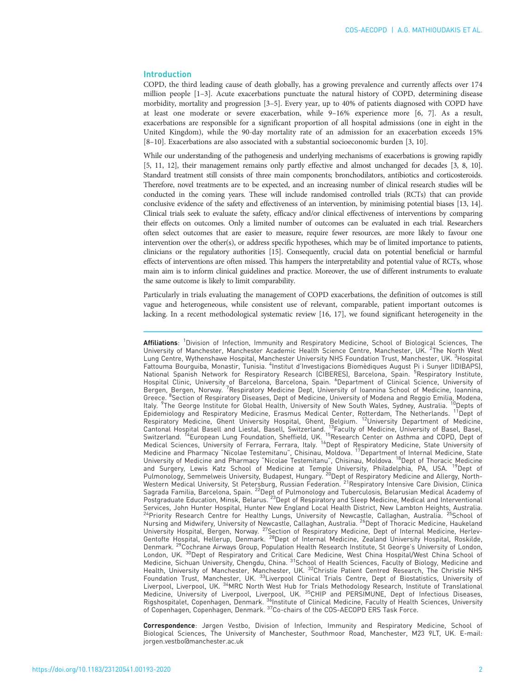#### Introduction

COPD, the third leading cause of death globally, has a growing prevalence and currently affects over 174 million people [\[1](#page-8-0)–[3](#page-8-0)]. Acute exacerbations punctuate the natural history of COPD, determining disease morbidity, mortality and progression [[3](#page-8-0)–[5](#page-8-0)]. Every year, up to 40% of patients diagnosed with COPD have at least one moderate or severe exacerbation, while 9–16% experience more [\[6](#page-8-0), [7\]](#page-9-0). As a result, exacerbations are responsible for a significant proportion of all hospital admissions (one in eight in the United Kingdom), while the 90-day mortality rate of an admission for an exacerbation exceeds 15% [[8](#page-9-0)–[10\]](#page-9-0). Exacerbations are also associated with a substantial socioeconomic burden [[3,](#page-8-0) [10](#page-9-0)].

While our understanding of the pathogenesis and underlying mechanisms of exacerbations is growing rapidly [\[5,](#page-8-0) [11, 12\]](#page-9-0), their management remains only partly effective and almost unchanged for decades [\[3,](#page-8-0) [8, 10\]](#page-9-0). Standard treatment still consists of three main components; bronchodilators, antibiotics and corticosteroids. Therefore, novel treatments are to be expected, and an increasing number of clinical research studies will be conducted in the coming years. These will include randomised controlled trials (RCTs) that can provide conclusive evidence of the safety and effectiveness of an intervention, by minimising potential biases [\[13, 14\]](#page-9-0). Clinical trials seek to evaluate the safety, efficacy and/or clinical effectiveness of interventions by comparing their effects on outcomes. Only a limited number of outcomes can be evaluated in each trial. Researchers often select outcomes that are easier to measure, require fewer resources, are more likely to favour one intervention over the other(s), or address specific hypotheses, which may be of limited importance to patients, clinicians or the regulatory authorities [\[15](#page-9-0)]. Consequently, crucial data on potential beneficial or harmful effects of interventions are often missed. This hampers the interpretability and potential value of RCTs, whose main aim is to inform clinical guidelines and practice. Moreover, the use of different instruments to evaluate the same outcome is likely to limit comparability.

Particularly in trials evaluating the management of COPD exacerbations, the definition of outcomes is still vague and heterogeneous, while consistent use of relevant, comparable, patient important outcomes is lacking. In a recent methodological systematic review [[16](#page-9-0), [17](#page-9-0)], we found significant heterogeneity in the

Affiliations: <sup>1</sup>Division of Infection, Immunity and Respiratory Medicine, School of Biological Sciences, The University of Manchester, Manchester Academic Health Science Centre, Manchester, UK. <sup>2</sup>The North West Lung Centre, Wythenshawe Hospital, Manchester University NHS Foundation Trust, Manchester, UK. <sup>3</sup>Hospital Fattouma Bourguiba, Monastir, Tunisia. <sup>4</sup>Institut d'Investigacions Biomèdiques August Pi i Sunyer (IDIBAPS), National Spanish Network for Respiratory Research (CIBERES), Barcelona, Spain. <sup>5</sup>Respiratory Institute,<br>Hospital Clinic, University of Barcelona, Barcelona, Spain. <sup>6</sup>Department of Clinical Science, University of Bergen, Bergen, Norway. <sup>7</sup>Respiratory Medicine Dept, University of Ioannina School of Medicine, Ioannina, Greece. <sup>8</sup>Section of Respiratory Diseases, Dept of Medicine, University of Modena and Reggio Emilia, Modena,<br>Italy. <sup>9</sup>The George Institute for Global Health, University of New South Wales, Sydney, Australia. <sup>10</sup>Depts of Italy. <sup>9</sup>The George Institute for Global Health, University of New South Wales, Sydney, Australia. <sup>10</sup>Depts of<br>Epidemiology and Respiratory Medicine, Erasmus Medical Center, Rotterdam, The Netherlands. <sup>11</sup>Dept of Respiratory Medicine, Ghent University Hospital, Ghent, Belgium. <sup>12</sup>University Department of Medicine, Cantonal Hospital Basell and Liestal, Basell, Switzerland. 13Faculty of Medicine, University of Basel, Basel, Switzerland. <sup>14</sup>European Lung Foundation, Sheffield, UK. <sup>15</sup>Research Center on Asthma and COPD, Dept of Medical Sciences, University of Ferrara, Ferrara, Italy. <sup>16</sup>Dept of Respiratory Medicine, State University of Medicine and Pharmacy "Nicolae Testemitanu", Chisinau, Moldova. 17Department of Internal Medicine, State University of Medicine and Pharmacy "Nicolae Testemitanu", Chisinau, Moldova. 18Dept of Thoracic Medicine and Surgery, Lewis Katz School of Medicine at Temple University, Philadelphia, PA, USA. <sup>19</sup>Dept of Pulmonology, Semmelweis University, Budapest, Hungary. <sup>20</sup>Dept of Respiratory Medicine and Allergy, North-Western Medical University, St Petersburg, Russian Federation. <sup>21</sup>Respiratory Intensive Care Division, Clinica Sagrada Familia, Barcelona, Spain. 22Dept of Pulmonology and Tuberculosis, Belarusian Medical Academy of Postgraduate Education, Minsk, Belarus. <sup>23</sup>Dept of Respiratory and Sleep Medicine, Medical and Interventional Services, John Hunter Hospital, Hunter New England Local Health District, New Lambton Heights, Australia.<br><sup>24</sup>Priority Research Centre for Healthy Lungs, University of Newcastle, Callaghan, Australia. <sup>25</sup>School of Nursing and Midwifery, University of Newcastle, Callaghan, Australia. <sup>26</sup>Dept of Thoracic Medicine, Haukeland University Hospital, Bergen, Norway. <sup>27</sup>Section of Respiratory Medicine, Dept of Internal Medicine, Herlev-Gentofte Hospital, Hellerup, Denmark. 28Dept of Internal Medicine, Zealand University Hospital, Roskilde, Denmark. 29Cochrane Airways Group, Population Health Research Institute, St George's University of London, London, UK. <sup>30</sup>Dept of Respiratory and Critical Care Medicine, West China Hospital/West China School of Medicine, Sichuan University, Chengdu, China. <sup>31</sup>School of Health Sciences, Faculty of Biology, Medicine and Health, University of Manchester, Manchester, UK. <sup>32</sup>Christie Patient Centred Research, The Christie NHS Foundation Trust, Manchester, UK. <sup>33</sup>Liverpool Clinical Trials Centre, Dept of Biostatistics, University of Liverpool, Liverpool, UK. 34MRC North West Hub for Trials Methodology Research, Institute of Translational Medicine, University of Liverpool, Liverpool, UK. <sup>35</sup>CHIP and PERSIMUNE, Dept of Infectious Diseases, Rigshospitalet, Copenhagen, Denmark. 36Institute of Clinical Medicine, Faculty of Health Sciences, University of Copenhagen, Copenhagen, Denmark. <sup>37</sup>Co-chairs of the COS-AECOPD ERS Task Force.

Correspondence: Jørgen Vestbo, Division of Infection, Immunity and Respiratory Medicine, School of Biological Sciences, The University of Manchester, Southmoor Road, Manchester, M23 9LT, UK. E-mail: [jorgen.vestbo@manchester.ac.uk](mailto:jorgen.vestbo@manchester.ac.uk)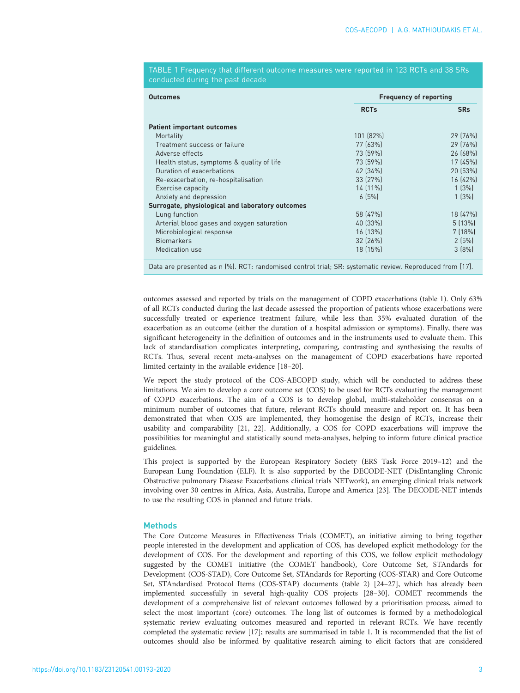TABLE 1 Frequency that different outcome measures were reported in 123 RCTs and 38 SRs conducted during the past decade

| <b>Outcomes</b>                                                                                          | <b>Frequency of reporting</b> |            |  |  |
|----------------------------------------------------------------------------------------------------------|-------------------------------|------------|--|--|
|                                                                                                          | <b>RCTs</b>                   | <b>SRs</b> |  |  |
| <b>Patient important outcomes</b>                                                                        |                               |            |  |  |
| Mortality                                                                                                | 101 (82%)                     | 29 (76%)   |  |  |
| Treatment success or failure                                                                             | 77 (63%)                      | 29 (76%)   |  |  |
| Adverse effects                                                                                          | 73 (59%)                      | 26 (68%)   |  |  |
| Health status, symptoms & quality of life                                                                | 73 (59%)                      | 17 (45%)   |  |  |
| Duration of exacerbations                                                                                | 42 (34%)                      | 20 (53%)   |  |  |
| Re-exacerbation, re-hospitalisation                                                                      | 33 (27%)                      | 16 (42%)   |  |  |
| Exercise capacity                                                                                        | 14 (11%)                      | 1(3%)      |  |  |
| Anxiety and depression                                                                                   | 6[5%]                         | 1(3%)      |  |  |
| Surrogate, physiological and laboratory outcomes                                                         |                               |            |  |  |
| Lung function                                                                                            | 58 (47%)                      | 18(47%)    |  |  |
| Arterial blood gases and oxygen saturation                                                               | 40 (33%)                      | 5(13%)     |  |  |
| Microbiological response                                                                                 | 16 (13%)                      | $7(18\%)$  |  |  |
| <b>Biomarkers</b>                                                                                        | 32 (26%)                      | 2(5%)      |  |  |
| Medication use                                                                                           | 18 (15%)                      | $3 [8\%]$  |  |  |
| Data are presented as n (%). RCT: randomised control trial; SR: systematic review. Reproduced from [17]. |                               |            |  |  |

outcomes assessed and reported by trials on the management of COPD exacerbations (table 1). Only 63% of all RCTs conducted during the last decade assessed the proportion of patients whose exacerbations were successfully treated or experience treatment failure, while less than 35% evaluated duration of the exacerbation as an outcome (either the duration of a hospital admission or symptoms). Finally, there was significant heterogeneity in the definition of outcomes and in the instruments used to evaluate them. This lack of standardisation complicates interpreting, comparing, contrasting and synthesising the results of RCTs. Thus, several recent meta-analyses on the management of COPD exacerbations have reported limited certainty in the available evidence [[18](#page-9-0)–[20\]](#page-9-0).

We report the study protocol of the COS-AECOPD study, which will be conducted to address these limitations. We aim to develop a core outcome set (COS) to be used for RCTs evaluating the management of COPD exacerbations. The aim of a COS is to develop global, multi-stakeholder consensus on a minimum number of outcomes that future, relevant RCTs should measure and report on. It has been demonstrated that when COS are implemented, they homogenise the design of RCTs, increase their usability and comparability [\[21, 22\]](#page-9-0). Additionally, a COS for COPD exacerbations will improve the possibilities for meaningful and statistically sound meta-analyses, helping to inform future clinical practice guidelines.

This project is supported by the European Respiratory Society (ERS Task Force 2019–12) and the European Lung Foundation (ELF). It is also supported by the DECODE-NET (DisEntangling Chronic Obstructive pulmonary Disease Exacerbations clinical trials NETwork), an emerging clinical trials network involving over 30 centres in Africa, Asia, Australia, Europe and America [\[23\]](#page-9-0). The DECODE-NET intends to use the resulting COS in planned and future trials.

## **Methods**

The Core Outcome Measures in Effectiveness Trials (COMET), an initiative aiming to bring together people interested in the development and application of COS, has developed explicit methodology for the development of COS. For the development and reporting of this COS, we follow explicit methodology suggested by the COMET initiative (the COMET handbook), Core Outcome Set, STAndards for Development (COS-STAD), Core Outcome Set, STAndards for Reporting (COS-STAR) and Core Outcome Set, STAndardised Protocol Items (COS-STAP) documents ([table 2\)](#page-3-0) [\[24](#page-9-0)–[27](#page-9-0)], which has already been implemented successfully in several high-quality COS projects [\[28](#page-9-0)–[30](#page-9-0)]. COMET recommends the development of a comprehensive list of relevant outcomes followed by a prioritisation process, aimed to select the most important (core) outcomes. The long list of outcomes is formed by a methodological systematic review evaluating outcomes measured and reported in relevant RCTs. We have recently completed the systematic review [\[17\]](#page-9-0); results are summarised in table 1. It is recommended that the list of outcomes should also be informed by qualitative research aiming to elicit factors that are considered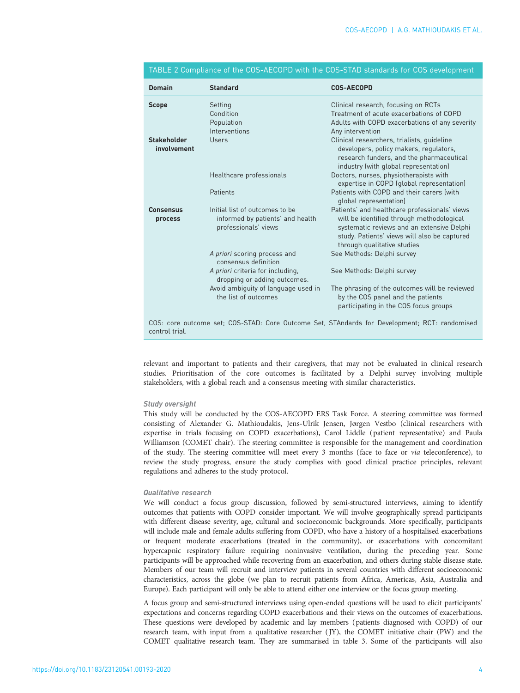| <b>Domain</b>                     | <b>Standard</b>                                                                            | <b>COS-AECOPD</b>                                                                                                                                                                                                       |
|-----------------------------------|--------------------------------------------------------------------------------------------|-------------------------------------------------------------------------------------------------------------------------------------------------------------------------------------------------------------------------|
| <b>Scope</b>                      | Setting<br>Condition<br>Population<br>Interventions                                        | Clinical research, focusing on RCTs<br>Treatment of acute exacerbations of COPD<br>Adults with COPD exacerbations of any severity<br>Any intervention                                                                   |
| <b>Stakeholder</b><br>involvement | Users                                                                                      | Clinical researchers, trialists, guideline<br>developers, policy makers, regulators,<br>research funders, and the pharmaceutical<br>industry (with global representation)                                               |
|                                   | Healthcare professionals                                                                   | Doctors, nurses, physiotherapists with<br>expertise in COPD (global representation)                                                                                                                                     |
|                                   | Patients                                                                                   | Patients with COPD and their carers (with<br>global representation)                                                                                                                                                     |
| <b>Consensus</b><br>process       | Initial list of outcomes to be<br>informed by patients' and health<br>professionals' views | Patients' and healthcare professionals' views<br>will be identified through methodological<br>systematic reviews and an extensive Delphi<br>study. Patients' views will also be captured<br>through qualitative studies |
|                                   | A priori scoring process and<br>consensus definition                                       | See Methods: Delphi survey                                                                                                                                                                                              |
|                                   | A priori criteria for including,<br>dropping or adding outcomes.                           | See Methods: Delphi survey                                                                                                                                                                                              |
|                                   | Avoid ambiguity of language used in<br>the list of outcomes                                | The phrasing of the outcomes will be reviewed<br>by the COS panel and the patients<br>participating in the COS focus groups                                                                                             |
| control trial.                    |                                                                                            | COS: core outcome set; COS-STAD: Core Outcome Set, STAndards for Development; RCT: randomised                                                                                                                           |

## <span id="page-3-0"></span>TABLE 2 Compliance of the COS-AECOPD with the COS-STAD standards for COS development

relevant and important to patients and their caregivers, that may not be evaluated in clinical research studies. Prioritisation of the core outcomes is facilitated by a Delphi survey involving multiple stakeholders, with a global reach and a consensus meeting with similar characteristics.

#### Study oversight

This study will be conducted by the COS-AECOPD ERS Task Force. A steering committee was formed consisting of Alexander G. Mathioudakis, Jens-Ulrik Jensen, Jørgen Vestbo (clinical researchers with expertise in trials focusing on COPD exacerbations), Carol Liddle ( patient representative) and Paula Williamson (COMET chair). The steering committee is responsible for the management and coordination of the study. The steering committee will meet every 3 months (face to face or via teleconference), to review the study progress, ensure the study complies with good clinical practice principles, relevant regulations and adheres to the study protocol.

### Qualitative research

We will conduct a focus group discussion, followed by semi-structured interviews, aiming to identify outcomes that patients with COPD consider important. We will involve geographically spread participants with different disease severity, age, cultural and socioeconomic backgrounds. More specifically, participants will include male and female adults suffering from COPD, who have a history of a hospitalised exacerbations or frequent moderate exacerbations (treated in the community), or exacerbations with concomitant hypercapnic respiratory failure requiring noninvasive ventilation, during the preceding year. Some participants will be approached while recovering from an exacerbation, and others during stable disease state. Members of our team will recruit and interview patients in several countries with different socioeconomic characteristics, across the globe (we plan to recruit patients from Africa, Americas, Asia, Australia and Europe). Each participant will only be able to attend either one interview or the focus group meeting.

A focus group and semi-structured interviews using open-ended questions will be used to elicit participants' expectations and concerns regarding COPD exacerbations and their views on the outcomes of exacerbations. These questions were developed by academic and lay members (patients diagnosed with COPD) of our research team, with input from a qualitative researcher ( JY), the COMET initiative chair (PW) and the COMET qualitative research team. They are summarised in [table 3.](#page-4-0) Some of the participants will also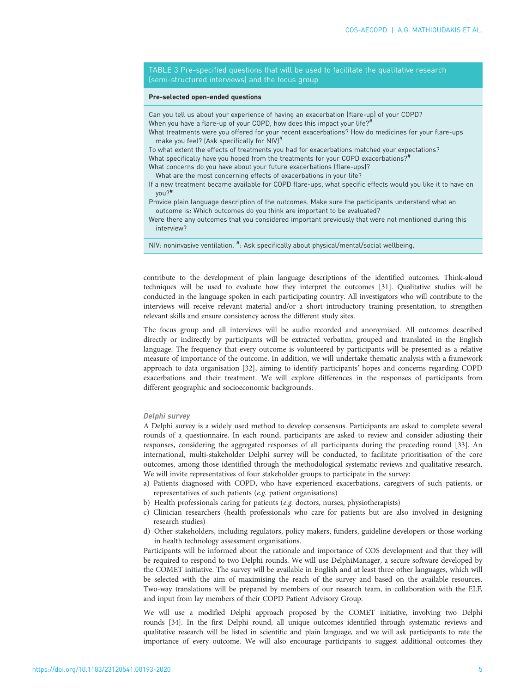<span id="page-4-0"></span>TABLE 3 Pre-specified questions that will be used to facilitate the qualitative research (semi-structured interviews) and the focus group

#### Pre-selected open-ended questions

Can you tell us about your experience of having an exacerbation (flare-up) of your COPD? When you have a flare-up of your COPD, how does this impact your life?<sup>#</sup>

What treatments were you offered for your recent exacerbations? How do medicines for your flare-ups make you feel? [Ask specifically for NIV]#

To what extent the effects of treatments you had for exacerbations matched your expectations? What specifically have you hoped from the treatments for your COPD exacerbations?<sup>#</sup>

What concerns do you have about your future exacerbations (flare-ups)?

- What are the most concerning effects of exacerbations in your life?
- If a new treatment became available for COPD flare-ups, what specific effects would you like it to have on you?#
- Provide plain language description of the outcomes. Make sure the participants understand what an outcome is: Which outcomes do you think are important to be evaluated?
- Were there any outcomes that you considered important previously that were not mentioned during this interview?

NIV: noninvasive ventilation. <sup>#</sup>: Ask specifically about physical/mental/social wellbeing.

contribute to the development of plain language descriptions of the identified outcomes. Think-aloud techniques will be used to evaluate how they interpret the outcomes [[31](#page-9-0)]. Qualitative studies will be conducted in the language spoken in each participating country. All investigators who will contribute to the interviews will receive relevant material and/or a short introductory training presentation, to strengthen relevant skills and ensure consistency across the different study sites.

The focus group and all interviews will be audio recorded and anonymised. All outcomes described directly or indirectly by participants will be extracted verbatim, grouped and translated in the English language. The frequency that every outcome is volunteered by participants will be presented as a relative measure of importance of the outcome. In addition, we will undertake thematic analysis with a framework approach to data organisation [[32](#page-9-0)], aiming to identify participants' hopes and concerns regarding COPD exacerbations and their treatment. We will explore differences in the responses of participants from different geographic and socioeconomic backgrounds.

#### Delphi survey

A Delphi survey is a widely used method to develop consensus. Participants are asked to complete several rounds of a questionnaire. In each round, participants are asked to review and consider adjusting their responses, considering the aggregated responses of all participants during the preceding round [\[33\]](#page-9-0). An international, multi-stakeholder Delphi survey will be conducted, to facilitate prioritisation of the core outcomes, among those identified through the methodological systematic reviews and qualitative research. We will invite representatives of four stakeholder groups to participate in the survey:

- a) Patients diagnosed with COPD, who have experienced exacerbations, caregivers of such patients, or representatives of such patients (e.g. patient organisations)
- b) Health professionals caring for patients (e.g. doctors, nurses, physiotherapists)
- c) Clinician researchers (health professionals who care for patients but are also involved in designing research studies)
- d) Other stakeholders, including regulators, policy makers, funders, guideline developers or those working in health technology assessment organisations.

Participants will be informed about the rationale and importance of COS development and that they will be required to respond to two Delphi rounds. We will use DelphiManager, a secure software developed by the COMET initiative. The survey will be available in English and at least three other languages, which will be selected with the aim of maximising the reach of the survey and based on the available resources. Two-way translations will be prepared by members of our research team, in collaboration with the ELF, and input from lay members of their COPD Patient Advisory Group.

We will use a modified Delphi approach proposed by the COMET initiative, involving two Delphi rounds [\[34](#page-9-0)]. In the first Delphi round, all unique outcomes identified through systematic reviews and qualitative research will be listed in scientific and plain language, and we will ask participants to rate the importance of every outcome. We will also encourage participants to suggest additional outcomes they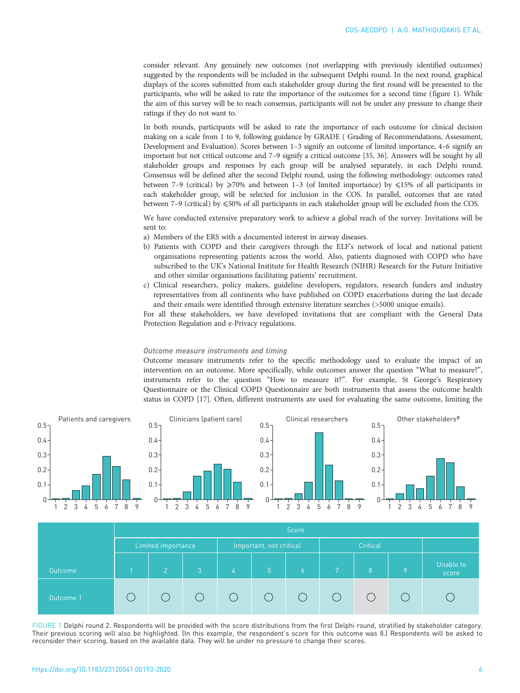consider relevant. Any genuinely new outcomes (not overlapping with previously identified outcomes) suggested by the respondents will be included in the subsequent Delphi round. In the next round, graphical displays of the scores submitted from each stakeholder group during the first round will be presented to the participants, who will be asked to rate the importance of the outcomes for a second time (figure 1). While the aim of this survey will be to reach consensus, participants will not be under any pressure to change their ratings if they do not want to.

In both rounds, participants will be asked to rate the importance of each outcome for clinical decision making on a scale from 1 to 9, following guidance by GRADE ( Grading of Recommendations, Assessment, Development and Evaluation). Scores between 1–3 signify an outcome of limited importance, 4–6 signify an important but not critical outcome and 7–9 signify a critical outcome [[35](#page-9-0), [36](#page-9-0)]. Answers will be sought by all stakeholder groups and responses by each group will be analysed separately, in each Delphi round. Consensus will be defined after the second Delphi round, using the following methodology: outcomes rated between 7–9 (critical) by  $\geq$ 70% and between 1–3 (of limited importance) by  $\leq$ 15% of all participants in each stakeholder group, will be selected for inclusion in the COS. In parallel, outcomes that are rated between 7–9 (critical) by  $\leq 50\%$  of all participants in each stakeholder group will be excluded from the COS.

We have conducted extensive preparatory work to achieve a global reach of the survey. Invitations will be sent to:

- a) Members of the ERS with a documented interest in airway diseases.
- b) Patients with COPD and their caregivers through the ELF's network of local and national patient organisations representing patients across the world. Also, patients diagnosed with COPD who have subscribed to the UK's National Institute for Health Research (NIHR) Research for the Future Initiative and other similar organisations facilitating patients' recruitment.
- c) Clinical researchers, policy makers, guideline developers, regulators, research funders and industry representatives from all continents who have published on COPD exacerbations during the last decade and their emails were identified through extensive literature searches (>5000 unique emails).

For all these stakeholders, we have developed invitations that are compliant with the General Data Protection Regulation and e-Privacy regulations.

#### Outcome measure instruments and timing

Outcome measure instruments refer to the specific methodology used to evaluate the impact of an intervention on an outcome. More specifically, while outcomes answer the question "What to measure?", instruments refer to the question "How to measure it?". For example, St George's Respiratory Questionnaire or the Clinical COPD Questionnaire are both instruments that assess the outcome health status in COPD [[17](#page-9-0)]. Often, different instruments are used for evaluating the same outcome, limiting the



|                | Score              |               |                         |       |                |        |              |          |   |                    |
|----------------|--------------------|---------------|-------------------------|-------|----------------|--------|--------------|----------|---|--------------------|
|                | Limited importance |               | Important, not critical |       | Critical       |        |              |          |   |                    |
| <b>Outcome</b> |                    | $\mathcal{O}$ | -3                      | 47    | $\overline{5}$ | 6      | $\mathbf{r}$ | 8        | 9 | Unable to<br>score |
| Outcome 1      |                    |               | $($ )                   | $($ ) | ( )            | $\cup$ | (            | $\left($ |   |                    |

FIGURE 1 Delphi round 2. Respondents will be provided with the score distributions from the first Delphi round, stratified by stakeholder category. Their previous scoring will also be highlighted. (In this example, the respondent's score for this outcome was 8.) Respondents will be asked to reconsider their scoring, based on the available data. They will be under no pressure to change their scores.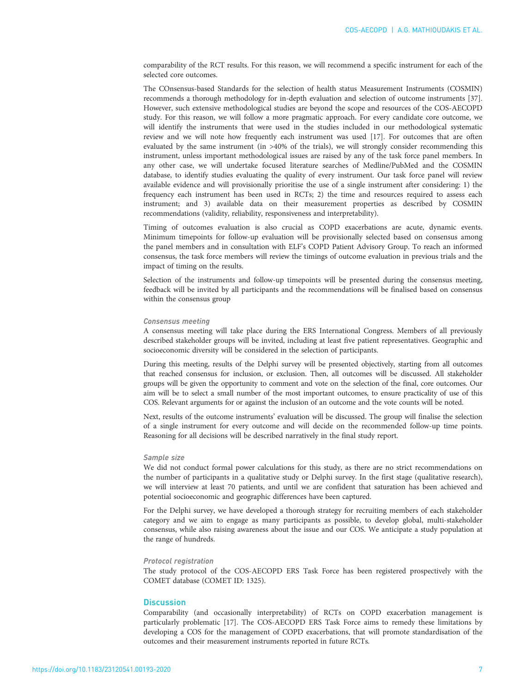comparability of the RCT results. For this reason, we will recommend a specific instrument for each of the selected core outcomes.

The COnsensus-based Standards for the selection of health status Measurement Instruments (COSMIN) recommends a thorough methodology for in-depth evaluation and selection of outcome instruments [\[37\]](#page-9-0). However, such extensive methodological studies are beyond the scope and resources of the COS-AECOPD study. For this reason, we will follow a more pragmatic approach. For every candidate core outcome, we will identify the instruments that were used in the studies included in our methodological systematic review and we will note how frequently each instrument was used [\[17\]](#page-9-0). For outcomes that are often evaluated by the same instrument (in >40% of the trials), we will strongly consider recommending this instrument, unless important methodological issues are raised by any of the task force panel members. In any other case, we will undertake focused literature searches of Medline/PubMed and the COSMIN database, to identify studies evaluating the quality of every instrument. Our task force panel will review available evidence and will provisionally prioritise the use of a single instrument after considering: 1) the frequency each instrument has been used in RCTs; 2) the time and resources required to assess each instrument; and 3) available data on their measurement properties as described by COSMIN recommendations (validity, reliability, responsiveness and interpretability).

Timing of outcomes evaluation is also crucial as COPD exacerbations are acute, dynamic events. Minimum timepoints for follow-up evaluation will be provisionally selected based on consensus among the panel members and in consultation with ELF's COPD Patient Advisory Group. To reach an informed consensus, the task force members will review the timings of outcome evaluation in previous trials and the impact of timing on the results.

Selection of the instruments and follow-up timepoints will be presented during the consensus meeting, feedback will be invited by all participants and the recommendations will be finalised based on consensus within the consensus group

#### Consensus meeting

A consensus meeting will take place during the ERS International Congress. Members of all previously described stakeholder groups will be invited, including at least five patient representatives. Geographic and socioeconomic diversity will be considered in the selection of participants.

During this meeting, results of the Delphi survey will be presented objectively, starting from all outcomes that reached consensus for inclusion, or exclusion. Then, all outcomes will be discussed. All stakeholder groups will be given the opportunity to comment and vote on the selection of the final, core outcomes. Our aim will be to select a small number of the most important outcomes, to ensure practicality of use of this COS. Relevant arguments for or against the inclusion of an outcome and the vote counts will be noted.

Next, results of the outcome instruments' evaluation will be discussed. The group will finalise the selection of a single instrument for every outcome and will decide on the recommended follow-up time points. Reasoning for all decisions will be described narratively in the final study report.

#### Sample size

We did not conduct formal power calculations for this study, as there are no strict recommendations on the number of participants in a qualitative study or Delphi survey. In the first stage (qualitative research), we will interview at least 70 patients, and until we are confident that saturation has been achieved and potential socioeconomic and geographic differences have been captured.

For the Delphi survey, we have developed a thorough strategy for recruiting members of each stakeholder category and we aim to engage as many participants as possible, to develop global, multi-stakeholder consensus, while also raising awareness about the issue and our COS. We anticipate a study population at the range of hundreds.

#### Protocol registration

The study protocol of the COS-AECOPD ERS Task Force has been registered prospectively with the COMET database (COMET ID: 1325).

### **Discussion**

Comparability (and occasionally interpretability) of RCTs on COPD exacerbation management is particularly problematic [\[17\]](#page-9-0). The COS-AECOPD ERS Task Force aims to remedy these limitations by developing a COS for the management of COPD exacerbations, that will promote standardisation of the outcomes and their measurement instruments reported in future RCTs.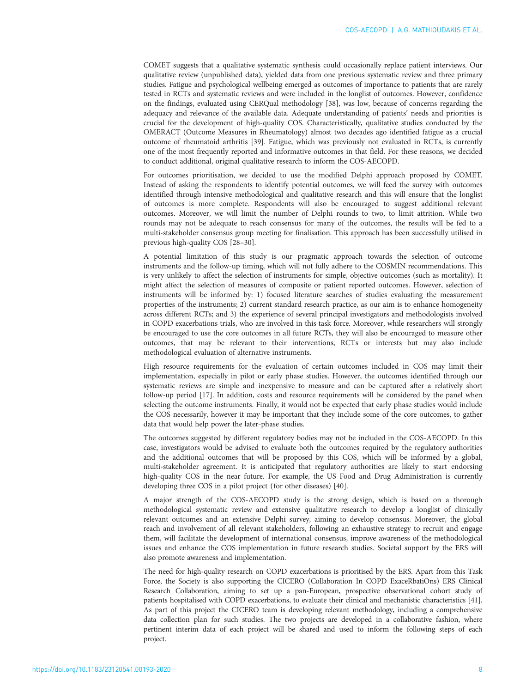COMET suggests that a qualitative systematic synthesis could occasionally replace patient interviews. Our qualitative review (unpublished data), yielded data from one previous systematic review and three primary studies. Fatigue and psychological wellbeing emerged as outcomes of importance to patients that are rarely tested in RCTs and systematic reviews and were included in the longlist of outcomes. However, confidence on the findings, evaluated using CERQual methodology [\[38\]](#page-9-0), was low, because of concerns regarding the adequacy and relevance of the available data. Adequate understanding of patients' needs and priorities is crucial for the development of high-quality COS. Characteristically, qualitative studies conducted by the OMERACT (Outcome Measures in Rheumatology) almost two decades ago identified fatigue as a crucial outcome of rheumatoid arthritis [[39](#page-9-0)]. Fatigue, which was previously not evaluated in RCTs, is currently one of the most frequently reported and informative outcomes in that field. For these reasons, we decided to conduct additional, original qualitative research to inform the COS-AECOPD.

For outcomes prioritisation, we decided to use the modified Delphi approach proposed by COMET. Instead of asking the respondents to identify potential outcomes, we will feed the survey with outcomes identified through intensive methodological and qualitative research and this will ensure that the longlist of outcomes is more complete. Respondents will also be encouraged to suggest additional relevant outcomes. Moreover, we will limit the number of Delphi rounds to two, to limit attrition. While two rounds may not be adequate to reach consensus for many of the outcomes, the results will be fed to a multi-stakeholder consensus group meeting for finalisation. This approach has been successfully utilised in previous high-quality COS [\[28](#page-9-0)–[30](#page-9-0)].

A potential limitation of this study is our pragmatic approach towards the selection of outcome instruments and the follow-up timing, which will not fully adhere to the COSMIN recommendations. This is very unlikely to affect the selection of instruments for simple, objective outcomes (such as mortality). It might affect the selection of measures of composite or patient reported outcomes. However, selection of instruments will be informed by: 1) focused literature searches of studies evaluating the measurement properties of the instruments; 2) current standard research practice, as our aim is to enhance homogeneity across different RCTs; and 3) the experience of several principal investigators and methodologists involved in COPD exacerbations trials, who are involved in this task force. Moreover, while researchers will strongly be encouraged to use the core outcomes in all future RCTs, they will also be encouraged to measure other outcomes, that may be relevant to their interventions, RCTs or interests but may also include methodological evaluation of alternative instruments.

High resource requirements for the evaluation of certain outcomes included in COS may limit their implementation, especially in pilot or early phase studies. However, the outcomes identified through our systematic reviews are simple and inexpensive to measure and can be captured after a relatively short follow-up period [[17](#page-9-0)]. In addition, costs and resource requirements will be considered by the panel when selecting the outcome instruments. Finally, it would not be expected that early phase studies would include the COS necessarily, however it may be important that they include some of the core outcomes, to gather data that would help power the later-phase studies.

The outcomes suggested by different regulatory bodies may not be included in the COS-AECOPD. In this case, investigators would be advised to evaluate both the outcomes required by the regulatory authorities and the additional outcomes that will be proposed by this COS, which will be informed by a global, multi-stakeholder agreement. It is anticipated that regulatory authorities are likely to start endorsing high-quality COS in the near future. For example, the US Food and Drug Administration is currently developing three COS in a pilot project (for other diseases) [\[40\]](#page-9-0).

A major strength of the COS-AECOPD study is the strong design, which is based on a thorough methodological systematic review and extensive qualitative research to develop a longlist of clinically relevant outcomes and an extensive Delphi survey, aiming to develop consensus. Moreover, the global reach and involvement of all relevant stakeholders, following an exhaustive strategy to recruit and engage them, will facilitate the development of international consensus, improve awareness of the methodological issues and enhance the COS implementation in future research studies. Societal support by the ERS will also promote awareness and implementation.

The need for high-quality research on COPD exacerbations is prioritised by the ERS. Apart from this Task Force, the Society is also supporting the CICERO (Collaboration In COPD ExaceRbatiOns) ERS Clinical Research Collaboration, aiming to set up a pan-European, prospective observational cohort study of patients hospitalised with COPD exacerbations, to evaluate their clinical and mechanistic characteristics [\[41\]](#page-9-0). As part of this project the CICERO team is developing relevant methodology, including a comprehensive data collection plan for such studies. The two projects are developed in a collaborative fashion, where pertinent interim data of each project will be shared and used to inform the following steps of each project.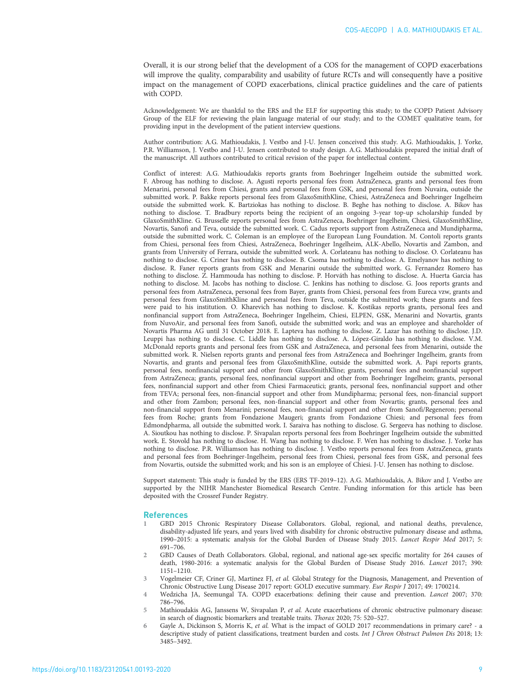<span id="page-8-0"></span>Overall, it is our strong belief that the development of a COS for the management of COPD exacerbations will improve the quality, comparability and usability of future RCTs and will consequently have a positive impact on the management of COPD exacerbations, clinical practice guidelines and the care of patients with COPD.

Acknowledgement: We are thankful to the ERS and the ELF for supporting this study; to the COPD Patient Advisory Group of the ELF for reviewing the plain language material of our study; and to the COMET qualitative team, for providing input in the development of the patient interview questions.

Author contribution: A.G. Mathioudakis, J. Vestbo and J-U. Jensen conceived this study. A.G. Mathioudakis, J. Yorke, P.R. Williamson, J. Vestbo and J-U. Jensen contributed to study design. A.G. Mathioudakis prepared the initial draft of the manuscript. All authors contributed to critical revision of the paper for intellectual content.

Conflict of interest: A.G. Mathioudakis reports grants from Boehringer Ingelheim outside the submitted work. F. Abroug has nothing to disclose. A. Agusti reports personal fees from AstraZeneca, grants and personal fees from Menarini, personal fees from Chiesi, grants and personal fees from GSK, and personal fees from Nuvaira, outside the submitted work. P. Bakke reports personal fees from GlaxoSmithKline, Chiesi, AstraZeneca and Boehringer Ingelheim outside the submitted work. K. Bartziokas has nothing to disclose. B. Beghe has nothing to disclose. A. Bikov has nothing to disclose. T. Bradbury reports being the recipient of an ongoing 3-year top-up scholarship funded by GlaxoSmithKline. G. Brusselle reports personal fees from AstraZeneca, Boehringer Ingelheim, Chiesi, GlaxoSmithKline, Novartis, Sanofi and Teva, outside the submitted work. C. Cadus reports support from AstraZeneca and Mundipharma, outside the submitted work. C. Coleman is an employee of the European Lung Foundation. M. Contoli reports grants from Chiesi, personal fees from Chiesi, AstraZeneca, Boehringer Ingelheim, ALK-Abello, Novartis and Zambon, and grants from University of Ferrara, outside the submitted work. A. Corlateanu has nothing to disclose. O. Corlateanu has nothing to disclose. G. Criner has nothing to disclose. B. Csoma has nothing to disclose. A. Emelyanov has nothing to disclose. R. Faner reports grants from GSK and Menarini outside the submitted work. G. Fernandez Romero has nothing to disclose. Z. Hammouda has nothing to disclose. P. Horváth has nothing to disclose. A. Huerta Garcia has nothing to disclose. M. Jacobs has nothing to disclose. C. Jenkins has nothing to disclose. G. Joos reports grants and personal fees from AstraZeneca, personal fees from Bayer, grants from Chiesi, personal fees from Eureca vzw, grants and personal fees from GlaxoSmithKline and personal fees from Teva, outside the submitted work; these grants and fees were paid to his institution. O. Kharevich has nothing to disclose. K. Kostikas reports grants, personal fees and nonfinancial support from AstraZeneca, Boehringer Ingelheim, Chiesi, ELPEN, GSK, Menarini and Novartis, grants from NuvoAir, and personal fees from Sanofi, outside the submitted work; and was an employee and shareholder of Novartis Pharma AG until 31 October 2018. E. Lapteva has nothing to disclose. Z. Lazar has nothing to disclose. J.D. Leuppi has nothing to disclose. C. Liddle has nothing to disclose. A. López-Giraldo has nothing to disclose. V.M. McDonald reports grants and personal fees from GSK and AstraZeneca, and personal fees from Menarini, outside the submitted work. R. Nielsen reports grants and personal fees from AstraZeneca and Boehringer Ingelheim, grants from Novartis, and grants and personal fees from GlaxoSmithKline, outside the submitted work. A. Papi reports grants, personal fees, nonfinancial support and other from GlaxoSmithKline; grants, personal fees and nonfinancial support from AstraZeneca; grants, personal fees, nonfinancial support and other from Boehringer Ingelheim; grants, personal fees, nonfinancial support and other from Chiesi Farmaceutici; grants, personal fees, nonfinancial support and other from TEVA; personal fees, non-financial support and other from Mundipharma; personal fees, non-financial support and other from Zambon; personal fees, non-financial support and other from Novartis; grants, personal fees and non-financial support from Menarini; personal fees, non-financial support and other from Sanofi/Regeneron; personal fees from Roche; grants from Fondazione Maugeri; grants from Fondazione Chiesi; and personal fees from Edmondpharma, all outside the submitted work. I. Saraiva has nothing to disclose. G. Sergeeva has nothing to disclose. A. Sioutkou has nothing to disclose. P. Sivapalan reports personal fees from Boehringer Ingelheim outside the submitted work. E. Stovold has nothing to disclose. H. Wang has nothing to disclose. F. Wen has nothing to disclose. J. Yorke has nothing to disclose. P.R. Williamson has nothing to disclose. J. Vestbo reports personal fees from AstraZeneca, grants and personal fees from Boehringer-Ingelheim, personal fees from Chiesi, personal fees from GSK, and personal fees from Novartis, outside the submitted work; and his son is an employee of Chiesi. J-U. Jensen has nothing to disclose.

Support statement: This study is funded by the ERS (ERS TF-2019–12). A.G. Mathioudakis, A. Bikov and J. Vestbo are supported by the NIHR Manchester Biomedical Research Centre. Funding information for this article has been deposited with the [Crossref Funder Registry.](https://www.crossref.org/services/funder-registry/)

#### References

- 1 GBD 2015 Chronic Respiratory Disease Collaborators. Global, regional, and national deaths, prevalence, disability-adjusted life years, and years lived with disability for chronic obstructive pulmonary disease and asthma, 1990–2015: a systematic analysis for the Global Burden of Disease Study 2015. Lancet Respir Med 2017; 5: 691–706.
- 2 GBD Causes of Death Collaborators. Global, regional, and national age-sex specific mortality for 264 causes of death, 1980-2016: a systematic analysis for the Global Burden of Disease Study 2016. Lancet 2017; 390: 1151–1210.
- 3 Vogelmeier CF, Criner GJ, Martinez FJ, et al. Global Strategy for the Diagnosis, Management, and Prevention of Chronic Obstructive Lung Disease 2017 report: GOLD executive summary. Eur Respir J 2017; 49: 1700214.
- 4 Wedzicha JA, Seemungal TA. COPD exacerbations: defining their cause and prevention. Lancet 2007; 370: 786–796.
- 5 Mathioudakis AG, Janssens W, Sivapalan P, et al. Acute exacerbations of chronic obstructive pulmonary disease: in search of diagnostic biomarkers and treatable traits. Thorax 2020; 75: 520–527.
- Gayle A, Dickinson S, Morris K, et al. What is the impact of GOLD 2017 recommendations in primary care? a descriptive study of patient classifications, treatment burden and costs. Int J Chron Obstruct Pulmon Dis 2018; 13: 3485–3492.